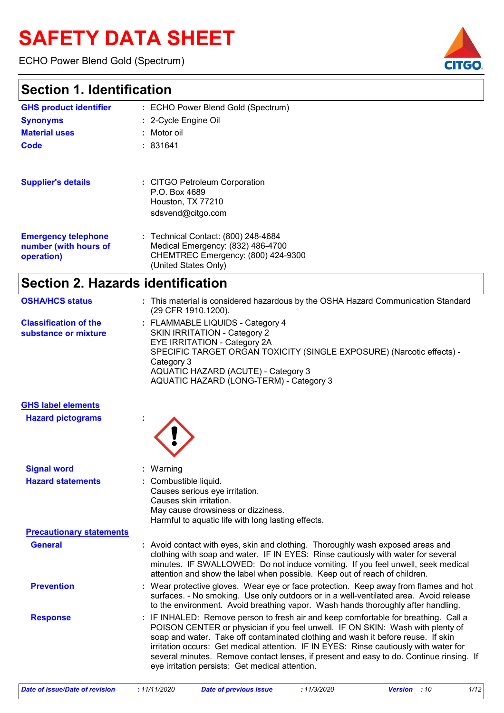# **SAFETY DATA SHEET**

ECHO Power Blend Gold (Spectrum)



### **Section 1. Identification**

| <b>GHS product identifier</b>                                     | : ECHO Power Blend Gold (Spectrum)                                                                                                     |
|-------------------------------------------------------------------|----------------------------------------------------------------------------------------------------------------------------------------|
| <b>Synonyms</b>                                                   | : 2-Cycle Engine Oil                                                                                                                   |
| <b>Material uses</b>                                              | : Motor oil                                                                                                                            |
| Code                                                              | :831641                                                                                                                                |
| <b>Supplier's details</b>                                         | : CITGO Petroleum Corporation<br>P.O. Box 4689<br>Houston, TX 77210<br>sdsvend@citgo.com                                               |
| <b>Emergency telephone</b><br>number (with hours of<br>operation) | : Technical Contact: (800) 248-4684<br>Medical Emergency: (832) 486-4700<br>CHEMTREC Emergency: (800) 424-9300<br>(United States Only) |
| Saction 2 Hazarde identification                                  |                                                                                                                                        |

| OGCHUILLE. HALAIUS IUGHIIHCAHUH                      |                                                                                                                                                                                                                                                                                                                                       |
|------------------------------------------------------|---------------------------------------------------------------------------------------------------------------------------------------------------------------------------------------------------------------------------------------------------------------------------------------------------------------------------------------|
| <b>OSHA/HCS status</b>                               | : This material is considered hazardous by the OSHA Hazard Communication Standard<br>(29 CFR 1910.1200).                                                                                                                                                                                                                              |
| <b>Classification of the</b><br>substance or mixture | : FLAMMABLE LIQUIDS - Category 4<br><b>SKIN IRRITATION - Category 2</b><br>EYE IRRITATION - Category 2A<br>SPECIFIC TARGET ORGAN TOXICITY (SINGLE EXPOSURE) (Narcotic effects) -<br>Category 3<br>AQUATIC HAZARD (ACUTE) - Category 3<br>AQUATIC HAZARD (LONG-TERM) - Category 3                                                      |
| <b>GHS label elements</b>                            |                                                                                                                                                                                                                                                                                                                                       |
| <b>Hazard pictograms</b>                             |                                                                                                                                                                                                                                                                                                                                       |
| <b>Signal word</b>                                   | Warning                                                                                                                                                                                                                                                                                                                               |
| <b>Hazard statements</b>                             | Combustible liquid.<br>Causes serious eye irritation.<br>Causes skin irritation.<br>May cause drowsiness or dizziness.<br>Harmful to aquatic life with long lasting effects.                                                                                                                                                          |
| <b>Precautionary statements</b>                      |                                                                                                                                                                                                                                                                                                                                       |
| <b>General</b>                                       | : Avoid contact with eyes, skin and clothing. Thoroughly wash exposed areas and<br>clothing with soap and water. IF IN EYES: Rinse cautiously with water for several<br>minutes. IF SWALLOWED: Do not induce vomiting. If you feel unwell, seek medical<br>attention and show the label when possible. Keep out of reach of children. |
| <b>Prevention</b>                                    | Wear protective gloves. Wear eye or face protection. Keep away from flames and hot<br>surfaces. - No smoking. Use only outdoors or in a well-ventilated area. Avoid release<br>to the environment. Avoid breathing vapor. Wash hands thoroughly after handling.                                                                       |

**Response :** IF INHALED: Remove person to fresh air and keep comfortable for breathing. Call a POISON CENTER or physician if you feel unwell. IF ON SKIN: Wash with plenty of soap and water. Take off contaminated clothing and wash it before reuse. If skin irritation occurs: Get medical attention. IF IN EYES: Rinse cautiously with water for several minutes. Remove contact lenses, if present and easy to do. Continue rinsing. If eye irritation persists: Get medical attention.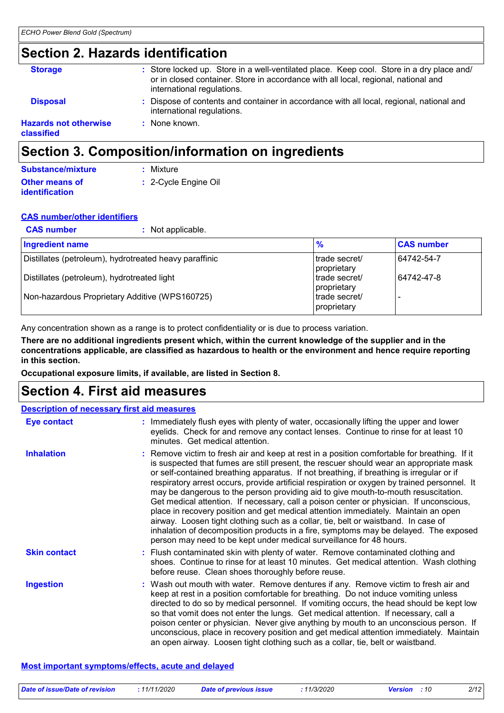### **Section 2. Hazards identification**

|                                            | Section 3. Composition/information on ingredients                                                                                                                                                             |
|--------------------------------------------|---------------------------------------------------------------------------------------------------------------------------------------------------------------------------------------------------------------|
| <b>Hazards not otherwise</b><br>classified | None known.<br>۰.                                                                                                                                                                                             |
| <b>Disposal</b>                            | Dispose of contents and container in accordance with all local, regional, national and<br>international regulations.                                                                                          |
| <b>Storage</b>                             | : Store locked up. Store in a well-ventilated place. Keep cool. Store in a dry place and/<br>or in closed container. Store in accordance with all local, regional, national and<br>international regulations. |

#### **Other means of identification :** 2-Cycle Engine Oil **Substance/mixture :** Mixture

#### **CAS number/other identifiers**

| <b>CAS number</b><br>: Not applicable.                 |                               |                   |
|--------------------------------------------------------|-------------------------------|-------------------|
| <b>Ingredient name</b>                                 | $\frac{9}{6}$                 | <b>CAS number</b> |
| Distillates (petroleum), hydrotreated heavy paraffinic | trade secret/<br>proprietary  | 64742-54-7        |
| Distillates (petroleum), hydrotreated light            | Itrade secret/<br>proprietary | 64742-47-8        |
| Non-hazardous Proprietary Additive (WPS160725)         | Itrade secret/<br>proprietary |                   |

Any concentration shown as a range is to protect confidentiality or is due to process variation.

**There are no additional ingredients present which, within the current knowledge of the supplier and in the concentrations applicable, are classified as hazardous to health or the environment and hence require reporting in this section.**

**Occupational exposure limits, if available, are listed in Section 8.**

### **Section 4. First aid measures**

| <b>Description of necessary first aid measures</b> |                                                                                                                                                                                                                                                                                                                                                                                                                                                                                                                                                                                                                                                                                                                                                                                                                                                                                                                |
|----------------------------------------------------|----------------------------------------------------------------------------------------------------------------------------------------------------------------------------------------------------------------------------------------------------------------------------------------------------------------------------------------------------------------------------------------------------------------------------------------------------------------------------------------------------------------------------------------------------------------------------------------------------------------------------------------------------------------------------------------------------------------------------------------------------------------------------------------------------------------------------------------------------------------------------------------------------------------|
| <b>Eye contact</b>                                 | : Immediately flush eyes with plenty of water, occasionally lifting the upper and lower<br>eyelids. Check for and remove any contact lenses. Continue to rinse for at least 10<br>minutes. Get medical attention.                                                                                                                                                                                                                                                                                                                                                                                                                                                                                                                                                                                                                                                                                              |
| <b>Inhalation</b>                                  | : Remove victim to fresh air and keep at rest in a position comfortable for breathing. If it<br>is suspected that fumes are still present, the rescuer should wear an appropriate mask<br>or self-contained breathing apparatus. If not breathing, if breathing is irregular or if<br>respiratory arrest occurs, provide artificial respiration or oxygen by trained personnel. It<br>may be dangerous to the person providing aid to give mouth-to-mouth resuscitation.<br>Get medical attention. If necessary, call a poison center or physician. If unconscious,<br>place in recovery position and get medical attention immediately. Maintain an open<br>airway. Loosen tight clothing such as a collar, tie, belt or waistband. In case of<br>inhalation of decomposition products in a fire, symptoms may be delayed. The exposed<br>person may need to be kept under medical surveillance for 48 hours. |
| <b>Skin contact</b>                                | : Flush contaminated skin with plenty of water. Remove contaminated clothing and<br>shoes. Continue to rinse for at least 10 minutes. Get medical attention. Wash clothing<br>before reuse. Clean shoes thoroughly before reuse.                                                                                                                                                                                                                                                                                                                                                                                                                                                                                                                                                                                                                                                                               |
| <b>Ingestion</b>                                   | : Wash out mouth with water. Remove dentures if any. Remove victim to fresh air and<br>keep at rest in a position comfortable for breathing. Do not induce vomiting unless<br>directed to do so by medical personnel. If vomiting occurs, the head should be kept low<br>so that vomit does not enter the lungs. Get medical attention. If necessary, call a<br>poison center or physician. Never give anything by mouth to an unconscious person. If<br>unconscious, place in recovery position and get medical attention immediately. Maintain<br>an open airway. Loosen tight clothing such as a collar, tie, belt or waistband.                                                                                                                                                                                                                                                                            |

#### **Most important symptoms/effects, acute and delayed**

| Date of issue/Date of revision | : 11/11/2020 | <b>Date of previous issue</b> | 11/3/2020 | <b>Version</b> : 10 | 2/12 |
|--------------------------------|--------------|-------------------------------|-----------|---------------------|------|
|                                |              |                               |           |                     |      |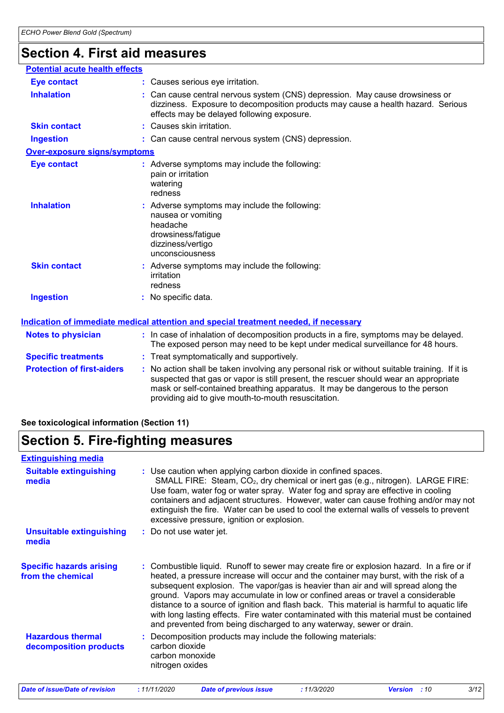### **Section 4. First aid measures**

| <b>Potential acute health effects</b> |    |                                                                                                                                                                                                                                                                                                                               |
|---------------------------------------|----|-------------------------------------------------------------------------------------------------------------------------------------------------------------------------------------------------------------------------------------------------------------------------------------------------------------------------------|
| <b>Eye contact</b>                    |    | : Causes serious eye irritation.                                                                                                                                                                                                                                                                                              |
| <b>Inhalation</b>                     |    | : Can cause central nervous system (CNS) depression. May cause drowsiness or<br>dizziness. Exposure to decomposition products may cause a health hazard. Serious<br>effects may be delayed following exposure.                                                                                                                |
| <b>Skin contact</b>                   | ŧ. | Causes skin irritation.                                                                                                                                                                                                                                                                                                       |
| <b>Ingestion</b>                      |    | : Can cause central nervous system (CNS) depression.                                                                                                                                                                                                                                                                          |
| <b>Over-exposure signs/symptoms</b>   |    |                                                                                                                                                                                                                                                                                                                               |
| <b>Eye contact</b>                    |    | : Adverse symptoms may include the following:<br>pain or irritation<br>watering<br>redness                                                                                                                                                                                                                                    |
| <b>Inhalation</b>                     |    | : Adverse symptoms may include the following:<br>nausea or vomiting<br>headache<br>drowsiness/fatigue<br>dizziness/vertigo<br>unconsciousness                                                                                                                                                                                 |
| <b>Skin contact</b>                   |    | : Adverse symptoms may include the following:<br>irritation<br>redness                                                                                                                                                                                                                                                        |
| <b>Ingestion</b>                      |    | No specific data.                                                                                                                                                                                                                                                                                                             |
|                                       |    | <u>Indication of immediate medical attention and special treatment needed, if necessary</u>                                                                                                                                                                                                                                   |
| <b>Notes to physician</b>             |    | : In case of inhalation of decomposition products in a fire, symptoms may be delayed.<br>The exposed person may need to be kept under medical surveillance for 48 hours.                                                                                                                                                      |
| <b>Specific treatments</b>            |    | : Treat symptomatically and supportively.                                                                                                                                                                                                                                                                                     |
| <b>Protection of first-aiders</b>     |    | : No action shall be taken involving any personal risk or without suitable training. If it is<br>suspected that gas or vapor is still present, the rescuer should wear an appropriate<br>mask or self-contained breathing apparatus. It may be dangerous to the person<br>providing aid to give mouth-to-mouth resuscitation. |

### **See toxicological information (Section 11)**

#### **Section 5. Fire-fighting measures Hazardous thermal decomposition products Specific hazards arising from the chemical** Decomposition products may include the following materials: **:** carbon dioxide carbon monoxide nitrogen oxides Combustible liquid. Runoff to sewer may create fire or explosion hazard. In a fire or if **:** heated, a pressure increase will occur and the container may burst, with the risk of a subsequent explosion. The vapor/gas is heavier than air and will spread along the ground. Vapors may accumulate in low or confined areas or travel a considerable distance to a source of ignition and flash back. This material is harmful to aquatic life with long lasting effects. Fire water contaminated with this material must be contained and prevented from being discharged to any waterway, sewer or drain. Use caution when applying carbon dioxide in confined spaces. **:** SMALL FIRE: Steam, CO<sub>2</sub>, dry chemical or inert gas (e.g., nitrogen). LARGE FIRE: Use foam, water fog or water spray. Water fog and spray are effective in cooling containers and adjacent structures. However, water can cause frothing and/or may not extinguish the fire. Water can be used to cool the external walls of vessels to prevent excessive pressure, ignition or explosion. **Extinguishing media :** Do not use water jet. **Suitable extinguishing media Unsuitable extinguishing media** *Date of issue/Date of revision* **:** *11/11/2020 Date of previous issue : 11/3/2020 Version : 10 3/12*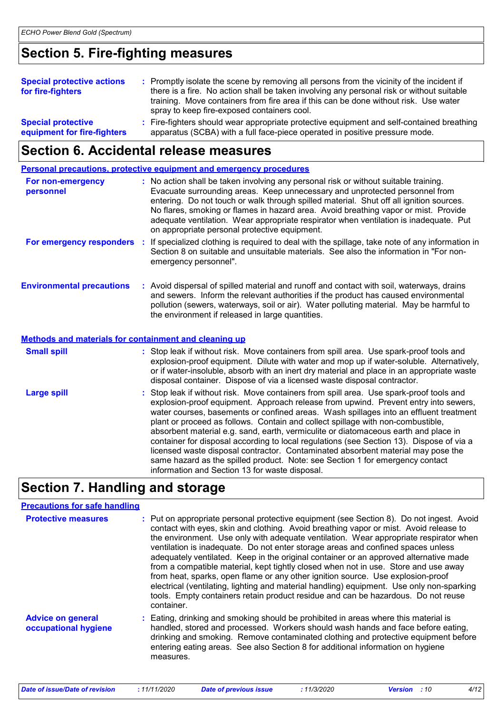### **Section 5. Fire-fighting measures**

| <b>Special protective actions</b><br>for fire-fighters   | : Promptly isolate the scene by removing all persons from the vicinity of the incident if<br>there is a fire. No action shall be taken involving any personal risk or without suitable<br>training. Move containers from fire area if this can be done without risk. Use water<br>spray to keep fire-exposed containers cool. |
|----------------------------------------------------------|-------------------------------------------------------------------------------------------------------------------------------------------------------------------------------------------------------------------------------------------------------------------------------------------------------------------------------|
| <b>Special protective</b><br>equipment for fire-fighters | : Fire-fighters should wear appropriate protective equipment and self-contained breathing<br>apparatus (SCBA) with a full face-piece operated in positive pressure mode.                                                                                                                                                      |

### **Section 6. Accidental release measures**

|                                                       | <b>Personal precautions, protective equipment and emergency procedures</b>                                                                                                                                                                                                                                                                                                                                                                                                                                                                                                                                                                                                                                                                                           |  |
|-------------------------------------------------------|----------------------------------------------------------------------------------------------------------------------------------------------------------------------------------------------------------------------------------------------------------------------------------------------------------------------------------------------------------------------------------------------------------------------------------------------------------------------------------------------------------------------------------------------------------------------------------------------------------------------------------------------------------------------------------------------------------------------------------------------------------------------|--|
| For non-emergency<br>personnel                        | : No action shall be taken involving any personal risk or without suitable training.<br>Evacuate surrounding areas. Keep unnecessary and unprotected personnel from<br>entering. Do not touch or walk through spilled material. Shut off all ignition sources.<br>No flares, smoking or flames in hazard area. Avoid breathing vapor or mist. Provide<br>adequate ventilation. Wear appropriate respirator when ventilation is inadequate. Put<br>on appropriate personal protective equipment.                                                                                                                                                                                                                                                                      |  |
|                                                       | For emergency responders : If specialized clothing is required to deal with the spillage, take note of any information in<br>Section 8 on suitable and unsuitable materials. See also the information in "For non-<br>emergency personnel".                                                                                                                                                                                                                                                                                                                                                                                                                                                                                                                          |  |
| <b>Environmental precautions</b>                      | : Avoid dispersal of spilled material and runoff and contact with soil, waterways, drains<br>and sewers. Inform the relevant authorities if the product has caused environmental<br>pollution (sewers, waterways, soil or air). Water polluting material. May be harmful to<br>the environment if released in large quantities.                                                                                                                                                                                                                                                                                                                                                                                                                                      |  |
| Methods and materials for containment and cleaning up |                                                                                                                                                                                                                                                                                                                                                                                                                                                                                                                                                                                                                                                                                                                                                                      |  |
| <b>Small spill</b>                                    | : Stop leak if without risk. Move containers from spill area. Use spark-proof tools and<br>explosion-proof equipment. Dilute with water and mop up if water-soluble. Alternatively,<br>or if water-insoluble, absorb with an inert dry material and place in an appropriate waste<br>disposal container. Dispose of via a licensed waste disposal contractor.                                                                                                                                                                                                                                                                                                                                                                                                        |  |
| <b>Large spill</b>                                    | : Stop leak if without risk. Move containers from spill area. Use spark-proof tools and<br>explosion-proof equipment. Approach release from upwind. Prevent entry into sewers,<br>water courses, basements or confined areas. Wash spillages into an effluent treatment<br>plant or proceed as follows. Contain and collect spillage with non-combustible,<br>absorbent material e.g. sand, earth, vermiculite or diatomaceous earth and place in<br>container for disposal according to local regulations (see Section 13). Dispose of via a<br>licensed waste disposal contractor. Contaminated absorbent material may pose the<br>same hazard as the spilled product. Note: see Section 1 for emergency contact<br>information and Section 13 for waste disposal. |  |

### **Section 7. Handling and storage**

### **Precautions for safe handling**

| <b>Protective measures</b>                       | : Put on appropriate personal protective equipment (see Section 8). Do not ingest. Avoid<br>contact with eyes, skin and clothing. Avoid breathing vapor or mist. Avoid release to<br>the environment. Use only with adequate ventilation. Wear appropriate respirator when<br>ventilation is inadequate. Do not enter storage areas and confined spaces unless<br>adequately ventilated. Keep in the original container or an approved alternative made<br>from a compatible material, kept tightly closed when not in use. Store and use away<br>from heat, sparks, open flame or any other ignition source. Use explosion-proof<br>electrical (ventilating, lighting and material handling) equipment. Use only non-sparking<br>tools. Empty containers retain product residue and can be hazardous. Do not reuse<br>container. |
|--------------------------------------------------|-----------------------------------------------------------------------------------------------------------------------------------------------------------------------------------------------------------------------------------------------------------------------------------------------------------------------------------------------------------------------------------------------------------------------------------------------------------------------------------------------------------------------------------------------------------------------------------------------------------------------------------------------------------------------------------------------------------------------------------------------------------------------------------------------------------------------------------|
| <b>Advice on general</b><br>occupational hygiene | : Eating, drinking and smoking should be prohibited in areas where this material is<br>handled, stored and processed. Workers should wash hands and face before eating,<br>drinking and smoking. Remove contaminated clothing and protective equipment before<br>entering eating areas. See also Section 8 for additional information on hygiene<br>measures.                                                                                                                                                                                                                                                                                                                                                                                                                                                                     |

| Date of issue/Date of revision | <i>11/11/2020</i> | Date of previous issue | : 11/3/2020 | <b>Version</b> : 10 |  |
|--------------------------------|-------------------|------------------------|-------------|---------------------|--|
|--------------------------------|-------------------|------------------------|-------------|---------------------|--|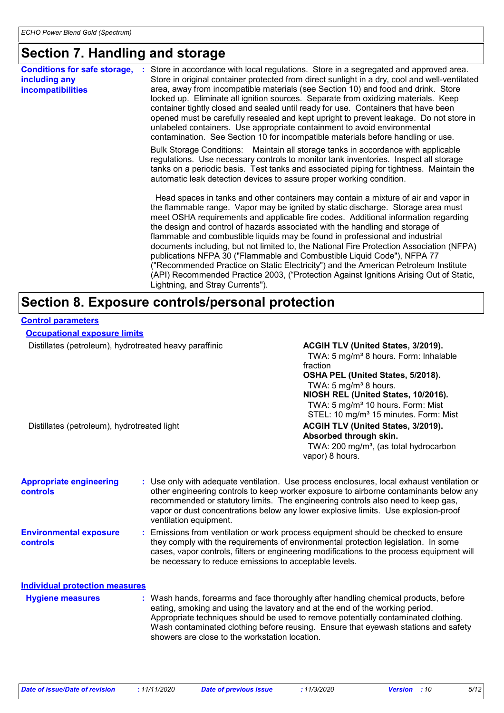### **Section 7. Handling and storage**

| Store in accordance with local regulations. Store in a segregated and approved area.<br><b>Conditions for safe storage,</b><br>Store in original container protected from direct sunlight in a dry, cool and well-ventilated<br>including any<br>area, away from incompatible materials (see Section 10) and food and drink. Store<br><b>incompatibilities</b><br>locked up. Eliminate all ignition sources. Separate from oxidizing materials. Keep<br>container tightly closed and sealed until ready for use. Containers that have been<br>opened must be carefully resealed and kept upright to prevent leakage. Do not store in<br>unlabeled containers. Use appropriate containment to avoid environmental<br>contamination. See Section 10 for incompatible materials before handling or use.<br>Bulk Storage Conditions: Maintain all storage tanks in accordance with applicable<br>regulations. Use necessary controls to monitor tank inventories. Inspect all storage<br>tanks on a periodic basis. Test tanks and associated piping for tightness. Maintain the<br>automatic leak detection devices to assure proper working condition.<br>Head spaces in tanks and other containers may contain a mixture of air and vapor in<br>the flammable range. Vapor may be ignited by static discharge. Storage area must<br>meet OSHA requirements and applicable fire codes. Additional information regarding<br>the design and control of hazards associated with the handling and storage of<br>flammable and combustible liquids may be found in professional and industrial<br>documents including, but not limited to, the National Fire Protection Association (NFPA)<br>publications NFPA 30 ("Flammable and Combustible Liquid Code"), NFPA 77<br>("Recommended Practice on Static Electricity") and the American Petroleum Institute<br>(API) Recommended Practice 2003, ("Protection Against Ignitions Arising Out of Static,<br>Lightning, and Stray Currents"). |  |
|-------------------------------------------------------------------------------------------------------------------------------------------------------------------------------------------------------------------------------------------------------------------------------------------------------------------------------------------------------------------------------------------------------------------------------------------------------------------------------------------------------------------------------------------------------------------------------------------------------------------------------------------------------------------------------------------------------------------------------------------------------------------------------------------------------------------------------------------------------------------------------------------------------------------------------------------------------------------------------------------------------------------------------------------------------------------------------------------------------------------------------------------------------------------------------------------------------------------------------------------------------------------------------------------------------------------------------------------------------------------------------------------------------------------------------------------------------------------------------------------------------------------------------------------------------------------------------------------------------------------------------------------------------------------------------------------------------------------------------------------------------------------------------------------------------------------------------------------------------------------------------------------------------------------------------------------------------------------------------------|--|
|                                                                                                                                                                                                                                                                                                                                                                                                                                                                                                                                                                                                                                                                                                                                                                                                                                                                                                                                                                                                                                                                                                                                                                                                                                                                                                                                                                                                                                                                                                                                                                                                                                                                                                                                                                                                                                                                                                                                                                                     |  |
|                                                                                                                                                                                                                                                                                                                                                                                                                                                                                                                                                                                                                                                                                                                                                                                                                                                                                                                                                                                                                                                                                                                                                                                                                                                                                                                                                                                                                                                                                                                                                                                                                                                                                                                                                                                                                                                                                                                                                                                     |  |
|                                                                                                                                                                                                                                                                                                                                                                                                                                                                                                                                                                                                                                                                                                                                                                                                                                                                                                                                                                                                                                                                                                                                                                                                                                                                                                                                                                                                                                                                                                                                                                                                                                                                                                                                                                                                                                                                                                                                                                                     |  |

| <b>Control parameters</b>                              |                        |                                                                                                                                                                                                                                                                                                                                                               |  |  |
|--------------------------------------------------------|------------------------|---------------------------------------------------------------------------------------------------------------------------------------------------------------------------------------------------------------------------------------------------------------------------------------------------------------------------------------------------------------|--|--|
| <b>Occupational exposure limits</b>                    |                        |                                                                                                                                                                                                                                                                                                                                                               |  |  |
| Distillates (petroleum), hydrotreated heavy paraffinic |                        | ACGIH TLV (United States, 3/2019).<br>TWA: 5 mg/m <sup>3</sup> 8 hours. Form: Inhalable<br>fraction<br>OSHA PEL (United States, 5/2018).<br>TWA: 5 mg/m <sup>3</sup> 8 hours.<br>NIOSH REL (United States, 10/2016).<br>TWA: 5 mg/m <sup>3</sup> 10 hours. Form: Mist<br>STEL: 10 mg/m <sup>3</sup> 15 minutes. Form: Mist                                    |  |  |
| Distillates (petroleum), hydrotreated light            |                        | ACGIH TLV (United States, 3/2019).<br>Absorbed through skin.<br>TWA: 200 mg/m <sup>3</sup> , (as total hydrocarbon<br>vapor) 8 hours.                                                                                                                                                                                                                         |  |  |
| <b>Appropriate engineering</b><br><b>controls</b>      | ventilation equipment. | : Use only with adequate ventilation. Use process enclosures, local exhaust ventilation or<br>other engineering controls to keep worker exposure to airborne contaminants below any<br>recommended or statutory limits. The engineering controls also need to keep gas,<br>vapor or dust concentrations below any lower explosive limits. Use explosion-proof |  |  |
| <b>Environmental exposure</b><br><b>controls</b>       |                        | : Emissions from ventilation or work process equipment should be checked to ensure<br>they comply with the requirements of environmental protection legislation. In some<br>cases, vapor controls, filters or engineering modifications to the process equipment will<br>be necessary to reduce emissions to acceptable levels.                               |  |  |
| <b>Individual protection measures</b>                  |                        |                                                                                                                                                                                                                                                                                                                                                               |  |  |
| <b>Hygiene measures</b>                                |                        | : Wash hands, forearms and face thoroughly after handling chemical products, before<br>eating, smoking and using the lavatory and at the end of the working period.<br>Appropriate techniques should be used to remove potentially contaminated clothing.<br>Wash contaminated clothing before reusing. Ensure that eyewash stations and safety               |  |  |

showers are close to the workstation location.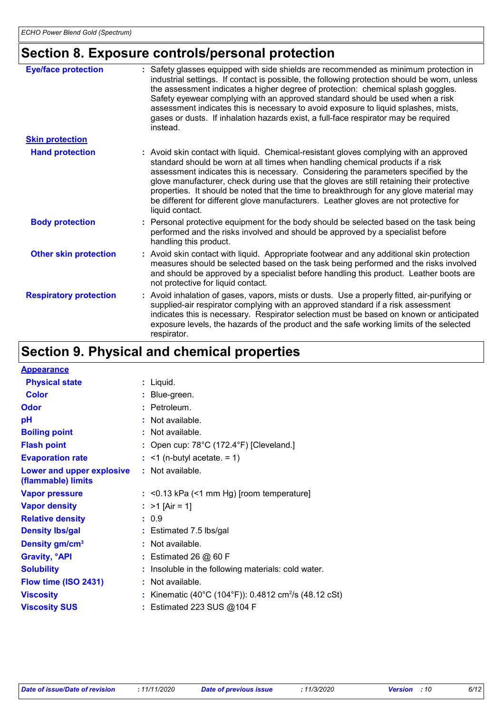## **Section 8. Exposure controls/personal protection**

| <b>Eye/face protection</b>    | : Safety glasses equipped with side shields are recommended as minimum protection in<br>industrial settings. If contact is possible, the following protection should be worn, unless<br>the assessment indicates a higher degree of protection: chemical splash goggles.<br>Safety eyewear complying with an approved standard should be used when a risk<br>assessment indicates this is necessary to avoid exposure to liquid splashes, mists,<br>gases or dusts. If inhalation hazards exist, a full-face respirator may be required<br>instead.                 |
|-------------------------------|---------------------------------------------------------------------------------------------------------------------------------------------------------------------------------------------------------------------------------------------------------------------------------------------------------------------------------------------------------------------------------------------------------------------------------------------------------------------------------------------------------------------------------------------------------------------|
| <b>Skin protection</b>        |                                                                                                                                                                                                                                                                                                                                                                                                                                                                                                                                                                     |
| <b>Hand protection</b>        | : Avoid skin contact with liquid. Chemical-resistant gloves complying with an approved<br>standard should be worn at all times when handling chemical products if a risk<br>assessment indicates this is necessary. Considering the parameters specified by the<br>glove manufacturer, check during use that the gloves are still retaining their protective<br>properties. It should be noted that the time to breakthrough for any glove material may<br>be different for different glove manufacturers. Leather gloves are not protective for<br>liquid contact. |
| <b>Body protection</b>        | : Personal protective equipment for the body should be selected based on the task being<br>performed and the risks involved and should be approved by a specialist before<br>handling this product.                                                                                                                                                                                                                                                                                                                                                                 |
| <b>Other skin protection</b>  | : Avoid skin contact with liquid. Appropriate footwear and any additional skin protection<br>measures should be selected based on the task being performed and the risks involved<br>and should be approved by a specialist before handling this product. Leather boots are<br>not protective for liquid contact.                                                                                                                                                                                                                                                   |
| <b>Respiratory protection</b> | : Avoid inhalation of gases, vapors, mists or dusts. Use a properly fitted, air-purifying or<br>supplied-air respirator complying with an approved standard if a risk assessment<br>indicates this is necessary. Respirator selection must be based on known or anticipated<br>exposure levels, the hazards of the product and the safe working limits of the selected<br>respirator.                                                                                                                                                                               |

## **Section 9. Physical and chemical properties**

| <b>Appearance</b>                               |   |                                                                 |
|-------------------------------------------------|---|-----------------------------------------------------------------|
| <b>Physical state</b>                           |   | $:$ Liquid.                                                     |
| <b>Color</b>                                    |   | Blue-green.                                                     |
| <b>Odor</b>                                     | ÷ | Petroleum.                                                      |
| pH                                              |   | Not available.                                                  |
| <b>Boiling point</b>                            |   | Not available.                                                  |
| <b>Flash point</b>                              |   | Open cup: 78°C (172.4°F) [Cleveland.]                           |
| <b>Evaporation rate</b>                         |   | $:$ <1 (n-butyl acetate. = 1)                                   |
| Lower and upper explosive<br>(flammable) limits |   | $:$ Not available.                                              |
| <b>Vapor pressure</b>                           |   | $:$ <0.13 kPa (<1 mm Hg) [room temperature]                     |
| <b>Vapor density</b>                            |   | : $>1$ [Air = 1]                                                |
| <b>Relative density</b>                         |   | : 0.9                                                           |
| <b>Density Ibs/gal</b>                          |   | $:$ Estimated 7.5 lbs/gal                                       |
| Density gm/cm <sup>3</sup>                      |   | Not available.                                                  |
| <b>Gravity, <sup>o</sup>API</b>                 |   | : Estimated 26 @ 60 F                                           |
| <b>Solubility</b>                               |   | Insoluble in the following materials: cold water.               |
| Flow time (ISO 2431)                            | ÷ | Not available.                                                  |
| <b>Viscosity</b>                                |   | Kinematic (40°C (104°F)): 0.4812 cm <sup>2</sup> /s (48.12 cSt) |
| <b>Viscosity SUS</b>                            |   | Estimated 223 SUS @104 F                                        |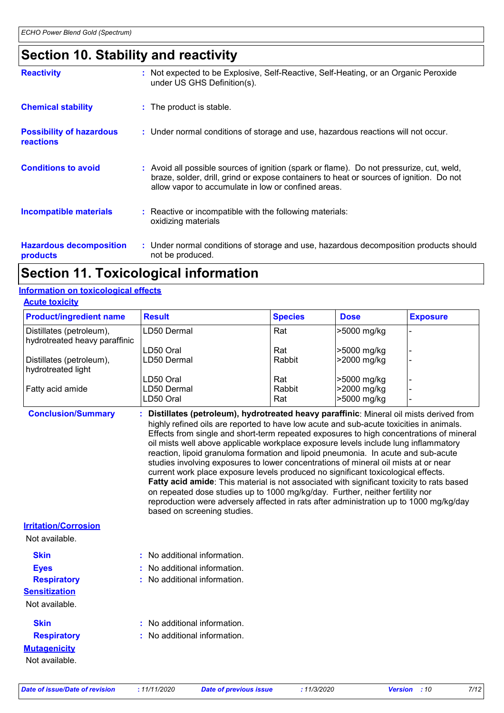### **Section 10. Stability and reactivity**

| <b>Reactivity</b>                                   | : Not expected to be Explosive, Self-Reactive, Self-Heating, or an Organic Peroxide<br>under US GHS Definition(s).                                                                                                                         |
|-----------------------------------------------------|--------------------------------------------------------------------------------------------------------------------------------------------------------------------------------------------------------------------------------------------|
| <b>Chemical stability</b>                           | : The product is stable.                                                                                                                                                                                                                   |
| <b>Possibility of hazardous</b><br><b>reactions</b> | : Under normal conditions of storage and use, hazardous reactions will not occur.                                                                                                                                                          |
| <b>Conditions to avoid</b>                          | : Avoid all possible sources of ignition (spark or flame). Do not pressurize, cut, weld,<br>braze, solder, drill, grind or expose containers to heat or sources of ignition. Do not<br>allow vapor to accumulate in low or confined areas. |
| <b>Incompatible materials</b>                       | : Reactive or incompatible with the following materials:<br>oxidizing materials                                                                                                                                                            |
| <b>Hazardous decomposition</b><br>products          | : Under normal conditions of storage and use, hazardous decomposition products should<br>not be produced.                                                                                                                                  |

### **Section 11. Toxicological information**

#### **Information on toxicological effects**

| <b>Product/ingredient name</b>                            | <b>Result</b> | <b>Species</b> | <b>Dose</b> | <b>Exposure</b> |
|-----------------------------------------------------------|---------------|----------------|-------------|-----------------|
| Distillates (petroleum),<br>hydrotreated heavy paraffinic | LD50 Dermal   | Rat            | >5000 mg/kg |                 |
|                                                           | LD50 Oral     | Rat            | >5000 mg/kg |                 |
| Distillates (petroleum),<br>hydrotreated light            | LD50 Dermal   | Rabbit         | >2000 mg/kg |                 |
|                                                           | LD50 Oral     | Rat            | >5000 mg/kg |                 |
| Fatty acid amide                                          | LD50 Dermal   | Rabbit         | >2000 mg/kg |                 |
|                                                           | LD50 Oral     | Rat            | >5000 mg/kg |                 |

**Conclusion/Summary : Distillates (petroleum), hydrotreated heavy paraffinic**: Mineral oil mists derived from highly refined oils are reported to have low acute and sub-acute toxicities in animals. Effects from single and short-term repeated exposures to high concentrations of mineral oil mists well above applicable workplace exposure levels include lung inflammatory reaction, lipoid granuloma formation and lipoid pneumonia. In acute and sub-acute studies involving exposures to lower concentrations of mineral oil mists at or near current work place exposure levels produced no significant toxicological effects. **Fatty acid amide**: This material is not associated with significant toxicity to rats based on repeated dose studies up to 1000 mg/kg/day. Further, neither fertility nor reproduction were adversely affected in rats after administration up to 1000 mg/kg/day based on screening studies.

#### **Irritation/Corrosion**

Not available.

Not available.

**Mutagenicity Sensitization** Not available. **Skin Respiratory :** No additional information. **:** No additional information. **Skin Eyes Respiratory :** No additional information. **:** No additional information. **:** No additional information.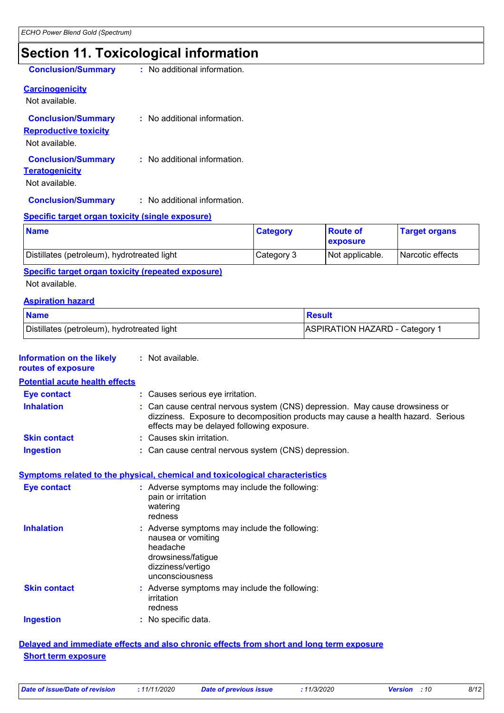### **Section 11. Toxicological information**

| <b>Conclusion/Summary</b>                                                   | : No additional information.   |
|-----------------------------------------------------------------------------|--------------------------------|
| <b>Carcinogenicity</b><br>Not available.                                    |                                |
| <b>Conclusion/Summary</b><br><b>Reproductive toxicity</b><br>Not available. | $:$ No additional information. |
| <b>Conclusion/Summary</b><br><b>Teratogenicity</b><br>Not available.        | : No additional information.   |

### **Conclusion/Summary :** No additional information.

#### **Specific target organ toxicity (single exposure)**

| <b>Name</b>                                 | <b>Category</b> | <b>Route of</b><br><b>Lexposure</b> | <b>Target organs</b> |
|---------------------------------------------|-----------------|-------------------------------------|----------------------|
| Distillates (petroleum), hydrotreated light | Category 3      | Not applicable.                     | Narcotic effects     |

**Specific target organ toxicity (repeated exposure)**

Not available.

#### **Aspiration hazard**

| <b>Name</b>                                 | <b>Result</b>                         |
|---------------------------------------------|---------------------------------------|
| Distillates (petroleum), hydrotreated light | <b>ASPIRATION HAZARD - Category 1</b> |

|  | <b>Information on the likely</b> | : Not available. |
|--|----------------------------------|------------------|
|--|----------------------------------|------------------|

#### **routes of exposure Potential acute health effects**

| i vluhlaravalu huann uhuvlu |                                                                                                                                                                                                                |
|-----------------------------|----------------------------------------------------------------------------------------------------------------------------------------------------------------------------------------------------------------|
| <b>Eye contact</b>          | : Causes serious eye irritation.                                                                                                                                                                               |
| <b>Inhalation</b>           | : Can cause central nervous system (CNS) depression. May cause drowsiness or<br>dizziness. Exposure to decomposition products may cause a health hazard. Serious<br>effects may be delayed following exposure. |
| <b>Skin contact</b>         | : Causes skin irritation.                                                                                                                                                                                      |
| <b>Ingestion</b>            | : Can cause central nervous system (CNS) depression.                                                                                                                                                           |

#### **Symptoms related to the physical, chemical and toxicological characteristics**

| <b>Eye contact</b>  | : Adverse symptoms may include the following:<br>pain or irritation<br>watering<br>redness                                                    |
|---------------------|-----------------------------------------------------------------------------------------------------------------------------------------------|
| <b>Inhalation</b>   | : Adverse symptoms may include the following:<br>nausea or vomiting<br>headache<br>drowsiness/fatique<br>dizziness/vertigo<br>unconsciousness |
| <b>Skin contact</b> | : Adverse symptoms may include the following:<br>irritation<br>redness                                                                        |
| <b>Ingestion</b>    | : No specific data.                                                                                                                           |

#### **Delayed and immediate effects and also chronic effects from short and long term exposure Short term exposure**

| Date of issue/Date of revision | : 11/11/2020 | Date of previous issue | 11/3/2020 | <b>Version</b> : 10 | 8/12 |
|--------------------------------|--------------|------------------------|-----------|---------------------|------|
|--------------------------------|--------------|------------------------|-----------|---------------------|------|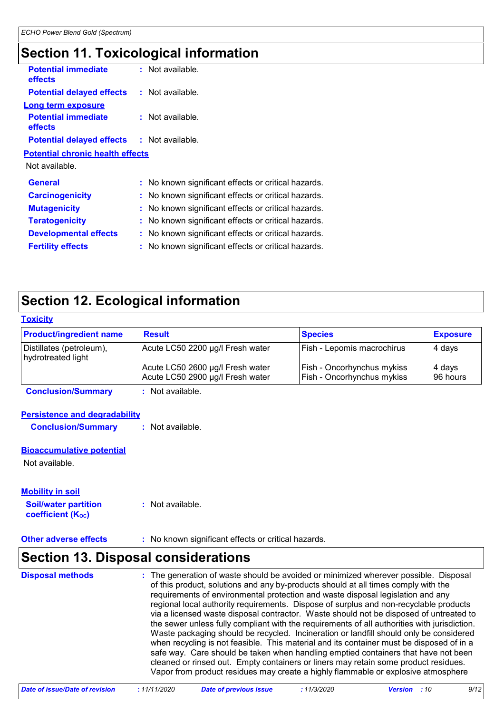### **Section 11. Toxicological information**

| <b>Potential immediate</b><br>effects             | : Not available.                                    |
|---------------------------------------------------|-----------------------------------------------------|
| <b>Potential delayed effects</b>                  | : Not available.                                    |
| Long term exposure                                |                                                     |
| <b>Potential immediate</b><br>effects             | $:$ Not available.                                  |
| <b>Potential delayed effects : Not available.</b> |                                                     |
| <b>Potential chronic health effects</b>           |                                                     |
| Not available.                                    |                                                     |
| <b>General</b>                                    | : No known significant effects or critical hazards. |
| <b>Carcinogenicity</b>                            | : No known significant effects or critical hazards. |
| <b>Mutagenicity</b>                               | : No known significant effects or critical hazards. |
| <b>Teratogenicity</b>                             | : No known significant effects or critical hazards. |
| <b>Developmental effects</b>                      | : No known significant effects or critical hazards. |
| <b>Fertility effects</b>                          | : No known significant effects or critical hazards. |
|                                                   |                                                     |

## **Section 12. Ecological information**

| <b>Toxicity</b>                                |                                                                      |                                                                        |                     |
|------------------------------------------------|----------------------------------------------------------------------|------------------------------------------------------------------------|---------------------|
| <b>Product/ingredient name</b>                 | Result                                                               | <b>Species</b>                                                         | <b>Exposure</b>     |
| Distillates (petroleum),<br>hydrotreated light | Acute LC50 2200 µg/l Fresh water                                     | Fish - Lepomis macrochirus                                             | 4 days              |
|                                                | Acute LC50 2600 µg/l Fresh water<br>Acute LC50 2900 µg/l Fresh water | <b>Fish - Oncorhynchus mykiss</b><br><b>Fish - Oncorhynchus mykiss</b> | 4 days<br>196 hours |
| <b>Conclusion/Summary</b>                      | : Not available.                                                     |                                                                        |                     |

#### **Persistence and degradability**

**Conclusion/Summary :** Not available.

#### **Bioaccumulative potential**

Not available.

| <b>Mobility in soil</b>                                 |                  |
|---------------------------------------------------------|------------------|
| <b>Soil/water partition</b><br><b>coefficient (Koc)</b> | : Not available. |

#### **Other adverse effects** : No known significant effects or critical hazards.

### **Section 13. Disposal considerations**

| <b>Disposal methods</b> | : The generation of waste should be avoided or minimized wherever possible. Disposal<br>of this product, solutions and any by-products should at all times comply with the<br>requirements of environmental protection and waste disposal legislation and any<br>regional local authority requirements. Dispose of surplus and non-recyclable products<br>via a licensed waste disposal contractor. Waste should not be disposed of untreated to<br>the sewer unless fully compliant with the requirements of all authorities with jurisdiction.<br>Waste packaging should be recycled. Incineration or landfill should only be considered<br>when recycling is not feasible. This material and its container must be disposed of in a<br>safe way. Care should be taken when handling emptied containers that have not been<br>cleaned or rinsed out. Empty containers or liners may retain some product residues.<br>Vapor from product residues may create a highly flammable or explosive atmosphere |
|-------------------------|----------------------------------------------------------------------------------------------------------------------------------------------------------------------------------------------------------------------------------------------------------------------------------------------------------------------------------------------------------------------------------------------------------------------------------------------------------------------------------------------------------------------------------------------------------------------------------------------------------------------------------------------------------------------------------------------------------------------------------------------------------------------------------------------------------------------------------------------------------------------------------------------------------------------------------------------------------------------------------------------------------|
|-------------------------|----------------------------------------------------------------------------------------------------------------------------------------------------------------------------------------------------------------------------------------------------------------------------------------------------------------------------------------------------------------------------------------------------------------------------------------------------------------------------------------------------------------------------------------------------------------------------------------------------------------------------------------------------------------------------------------------------------------------------------------------------------------------------------------------------------------------------------------------------------------------------------------------------------------------------------------------------------------------------------------------------------|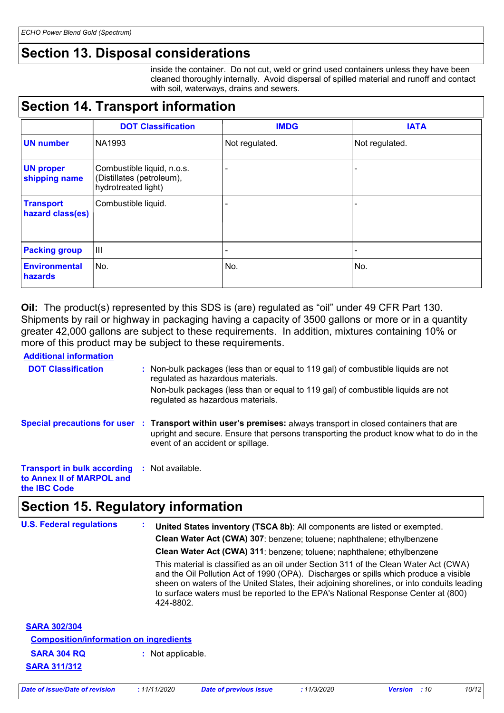### **Section 13. Disposal considerations**

inside the container. Do not cut, weld or grind used containers unless they have been cleaned thoroughly internally. Avoid dispersal of spilled material and runoff and contact with soil, waterways, drains and sewers.

### **Section 14. Transport information**

|                                      | <b>DOT Classification</b>                                                      | <b>IMDG</b>    | <b>IATA</b>    |
|--------------------------------------|--------------------------------------------------------------------------------|----------------|----------------|
| <b>UN number</b>                     | NA1993                                                                         | Not regulated. | Not regulated. |
| <b>UN proper</b><br>shipping name    | Combustible liquid, n.o.s.<br>(Distillates (petroleum),<br>hydrotreated light) |                |                |
| <b>Transport</b><br>hazard class(es) | Combustible liquid.                                                            |                |                |
| <b>Packing group</b>                 | $\mathbf{III}$                                                                 |                |                |
| <b>Environmental</b><br>hazards      | No.                                                                            | No.            | No.            |

**Oil:** The product(s) represented by this SDS is (are) regulated as "oil" under 49 CFR Part 130. Shipments by rail or highway in packaging having a capacity of 3500 gallons or more or in a quantity greater 42,000 gallons are subject to these requirements. In addition, mixtures containing 10% or more of this product may be subject to these requirements.

**Additional information**

| , wandyimi iliyi ilimiyi                                                               |     |                                                                                                                                                                                                                                                 |
|----------------------------------------------------------------------------------------|-----|-------------------------------------------------------------------------------------------------------------------------------------------------------------------------------------------------------------------------------------------------|
| <b>DOT Classification</b>                                                              |     | Non-bulk packages (less than or equal to 119 gal) of combustible liquids are not<br>regulated as hazardous materials.                                                                                                                           |
|                                                                                        |     | Non-bulk packages (less than or equal to 119 gal) of combustible liquids are not<br>regulated as hazardous materials.                                                                                                                           |
|                                                                                        |     | Special precautions for user : Transport within user's premises: always transport in closed containers that are<br>upright and secure. Ensure that persons transporting the product know what to do in the<br>event of an accident or spillage. |
| <b>Transport in bulk according</b><br>to Annex II of MARPOL and<br>the <b>IBC</b> Code | -11 | Not available.                                                                                                                                                                                                                                  |

### **Section 15. Regulatory information**

| <b>U.S. Federal regulations</b>                                                                                   | United States inventory (TSCA 8b): All components are listed or exempted.<br>Clean Water Act (CWA) 307: benzene; toluene; naphthalene; ethylbenzene<br>Clean Water Act (CWA) 311: benzene; toluene; naphthalene; ethylbenzene<br>This material is classified as an oil under Section 311 of the Clean Water Act (CWA)<br>and the Oil Pollution Act of 1990 (OPA). Discharges or spills which produce a visible<br>sheen on waters of the United States, their adjoining shorelines, or into conduits leading<br>to surface waters must be reported to the EPA's National Response Center at (800)<br>424-8802. |
|-------------------------------------------------------------------------------------------------------------------|----------------------------------------------------------------------------------------------------------------------------------------------------------------------------------------------------------------------------------------------------------------------------------------------------------------------------------------------------------------------------------------------------------------------------------------------------------------------------------------------------------------------------------------------------------------------------------------------------------------|
| <b>SARA 302/304</b><br><b>Composition/information on ingredients</b><br><b>SARA 304 RQ</b><br><b>SARA 311/312</b> | : Not applicable.                                                                                                                                                                                                                                                                                                                                                                                                                                                                                                                                                                                              |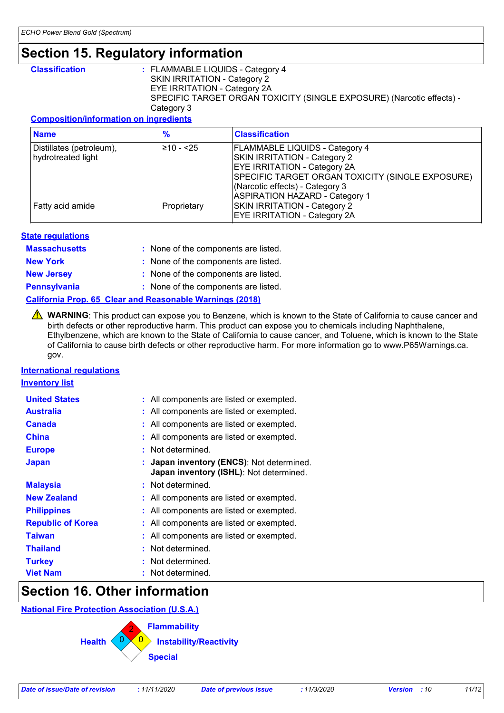### **Section 15. Regulatory information**

**Classification :** FLAMMABLE LIQUIDS - Category 4 SKIN IRRITATION - Category 2 EYE IRRITATION - Category 2A SPECIFIC TARGET ORGAN TOXICITY (SINGLE EXPOSURE) (Narcotic effects) - Category 3

#### **Composition/information on ingredients**

| <b>Name</b>                                    | ℅           | <b>Classification</b>                                                                                                                                                                               |
|------------------------------------------------|-------------|-----------------------------------------------------------------------------------------------------------------------------------------------------------------------------------------------------|
| Distillates (petroleum),<br>hydrotreated light | 210 - <25   | <b>FLAMMABLE LIQUIDS - Category 4</b><br>SKIN IRRITATION - Category 2<br><b>EYE IRRITATION - Category 2A</b><br>SPECIFIC TARGET ORGAN TOXICITY (SINGLE EXPOSURE)<br>(Narcotic effects) - Category 3 |
| Fatty acid amide                               | Proprietary | <b>ASPIRATION HAZARD - Category 1</b><br><b>SKIN IRRITATION - Category 2</b><br><b>EYE IRRITATION - Category 2A</b>                                                                                 |

#### **State regulations**

| <b>Massachusetts</b> | : None of the components are listed. |
|----------------------|--------------------------------------|
| <b>New York</b>      | : None of the components are listed. |
| <b>New Jersey</b>    | : None of the components are listed. |
| <b>Pennsylvania</b>  | : None of the components are listed. |

#### **California Prop. 65 Clear and Reasonable Warnings (2018)**

**A** WARNING: This product can expose you to Benzene, which is known to the State of California to cause cancer and birth defects or other reproductive harm. This product can expose you to chemicals including Naphthalene, Ethylbenzene, which are known to the State of California to cause cancer, and Toluene, which is known to the State of California to cause birth defects or other reproductive harm. For more information go to www.P65Warnings.ca. gov.

#### **International regulations**

**Inventory list**

| <b>United States</b>     | : All components are listed or exempted.                                             |
|--------------------------|--------------------------------------------------------------------------------------|
| <b>Australia</b>         | : All components are listed or exempted.                                             |
| <b>Canada</b>            | : All components are listed or exempted.                                             |
| <b>China</b>             | : All components are listed or exempted.                                             |
| <b>Europe</b>            | Not determined.                                                                      |
| <b>Japan</b>             | : Japan inventory (ENCS): Not determined.<br>Japan inventory (ISHL): Not determined. |
| <b>Malaysia</b>          | : Not determined.                                                                    |
| <b>New Zealand</b>       | : All components are listed or exempted.                                             |
| <b>Philippines</b>       | : All components are listed or exempted.                                             |
| <b>Republic of Korea</b> | : All components are listed or exempted.                                             |
| <b>Taiwan</b>            | : All components are listed or exempted.                                             |
| <b>Thailand</b>          | : Not determined.                                                                    |
| <b>Turkey</b>            | : Not determined.                                                                    |
| <b>Viet Nam</b>          | Not determined.                                                                      |

### **Section 16. Other information**

**National Fire Protection Association (U.S.A.)**



| Date of issue/Date of revision | 11/11/2020 | Date of previous issue | 11/3/2020 | <b>Version</b> : 10 | 11/12 |
|--------------------------------|------------|------------------------|-----------|---------------------|-------|
|                                |            |                        |           |                     |       |